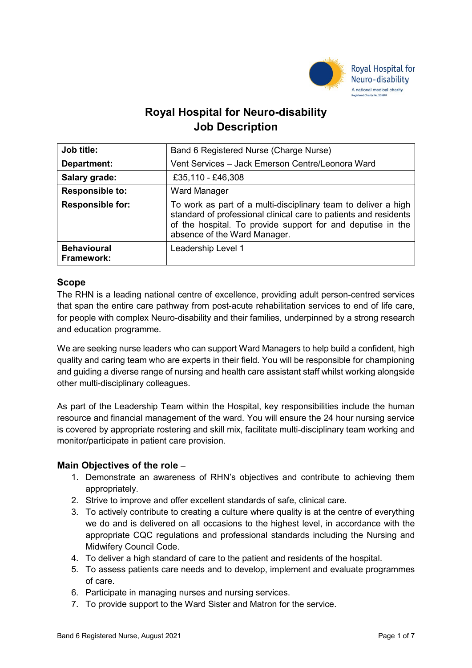

# **Royal Hospital for Neuro-disability Job Description**

| Job title:                       | Band 6 Registered Nurse (Charge Nurse)                                                                                                                                                                                            |
|----------------------------------|-----------------------------------------------------------------------------------------------------------------------------------------------------------------------------------------------------------------------------------|
| Department:                      | Vent Services - Jack Emerson Centre/Leonora Ward                                                                                                                                                                                  |
| Salary grade:                    | £35,110 - £46,308                                                                                                                                                                                                                 |
| <b>Responsible to:</b>           | <b>Ward Manager</b>                                                                                                                                                                                                               |
| <b>Responsible for:</b>          | To work as part of a multi-disciplinary team to deliver a high<br>standard of professional clinical care to patients and residents<br>of the hospital. To provide support for and deputise in the<br>absence of the Ward Manager. |
| <b>Behavioural</b><br>Framework: | Leadership Level 1                                                                                                                                                                                                                |

## **Scope**

The RHN is a leading national centre of excellence, providing adult person-centred services that span the entire care pathway from post-acute rehabilitation services to end of life care, for people with complex Neuro-disability and their families, underpinned by a strong research and education programme.

We are seeking nurse leaders who can support Ward Managers to help build a confident, high quality and caring team who are experts in their field. You will be responsible for championing and guiding a diverse range of nursing and health care assistant staff whilst working alongside other multi-disciplinary colleagues.

As part of the Leadership Team within the Hospital, key responsibilities include the human resource and financial management of the ward. You will ensure the 24 hour nursing service is covered by appropriate rostering and skill mix, facilitate multi-disciplinary team working and monitor/participate in patient care provision.

## **Main Objectives of the role** –

- 1. Demonstrate an awareness of RHN's objectives and contribute to achieving them appropriately.
- 2. Strive to improve and offer excellent standards of safe, clinical care.
- 3. To actively contribute to creating a culture where quality is at the centre of everything we do and is delivered on all occasions to the highest level, in accordance with the appropriate CQC regulations and professional standards including the Nursing and Midwifery Council Code.
- 4. To deliver a high standard of care to the patient and residents of the hospital.
- 5. To assess patients care needs and to develop, implement and evaluate programmes of care.
- 6. Participate in managing nurses and nursing services.
- 7. To provide support to the Ward Sister and Matron for the service.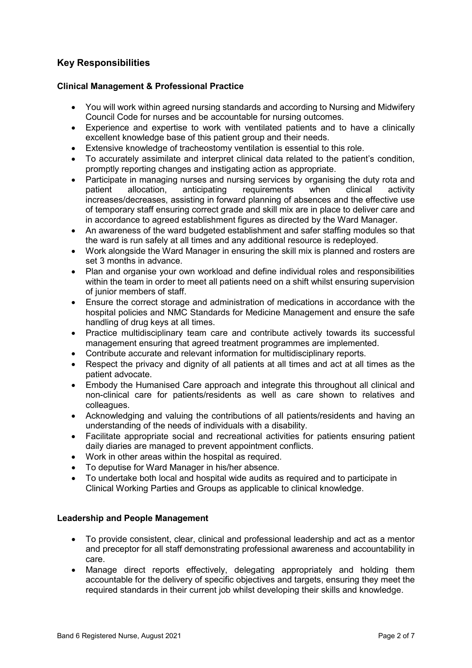# **Key Responsibilities**

## **Clinical Management & Professional Practice**

- You will work within agreed nursing standards and according to Nursing and Midwifery Council Code for nurses and be accountable for nursing outcomes.
- Experience and expertise to work with ventilated patients and to have a clinically excellent knowledge base of this patient group and their needs.
- Extensive knowledge of tracheostomy ventilation is essential to this role.
- To accurately assimilate and interpret clinical data related to the patient's condition, promptly reporting changes and instigating action as appropriate.
- Participate in managing nurses and nursing services by organising the duty rota and patient allocation, anticipating requirements when clinical activity increases/decreases, assisting in forward planning of absences and the effective use of temporary staff ensuring correct grade and skill mix are in place to deliver care and in accordance to agreed establishment figures as directed by the Ward Manager.
- An awareness of the ward budgeted establishment and safer staffing modules so that the ward is run safely at all times and any additional resource is redeployed.
- Work alongside the Ward Manager in ensuring the skill mix is planned and rosters are set 3 months in advance.
- Plan and organise your own workload and define individual roles and responsibilities within the team in order to meet all patients need on a shift whilst ensuring supervision of junior members of staff.
- Ensure the correct storage and administration of medications in accordance with the hospital policies and NMC Standards for Medicine Management and ensure the safe handling of drug keys at all times.
- Practice multidisciplinary team care and contribute actively towards its successful management ensuring that agreed treatment programmes are implemented.
- Contribute accurate and relevant information for multidisciplinary reports.
- Respect the privacy and dignity of all patients at all times and act at all times as the patient advocate.
- Embody the Humanised Care approach and integrate this throughout all clinical and non-clinical care for patients/residents as well as care shown to relatives and colleagues.
- Acknowledging and valuing the contributions of all patients/residents and having an understanding of the needs of individuals with a disability.
- Facilitate appropriate social and recreational activities for patients ensuring patient daily diaries are managed to prevent appointment conflicts.
- Work in other areas within the hospital as required.
- To deputise for Ward Manager in his/her absence.
- To undertake both local and hospital wide audits as required and to participate in Clinical Working Parties and Groups as applicable to clinical knowledge.

## **Leadership and People Management**

- To provide consistent, clear, clinical and professional leadership and act as a mentor and preceptor for all staff demonstrating professional awareness and accountability in care.
- Manage direct reports effectively, delegating appropriately and holding them accountable for the delivery of specific objectives and targets, ensuring they meet the required standards in their current job whilst developing their skills and knowledge.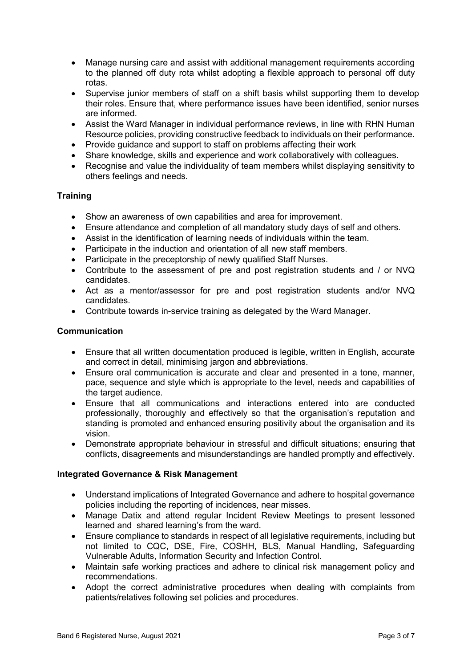- Manage nursing care and assist with additional management requirements according to the planned off duty rota whilst adopting a flexible approach to personal off duty rotas.
- Supervise junior members of staff on a shift basis whilst supporting them to develop their roles. Ensure that, where performance issues have been identified, senior nurses are informed.
- Assist the Ward Manager in individual performance reviews, in line with RHN Human Resource policies, providing constructive feedback to individuals on their performance.
- Provide quidance and support to staff on problems affecting their work
- Share knowledge, skills and experience and work collaboratively with colleagues.
- Recognise and value the individuality of team members whilst displaying sensitivity to others feelings and needs.

## **Training**

- Show an awareness of own capabilities and area for improvement.
- Ensure attendance and completion of all mandatory study days of self and others.
- Assist in the identification of learning needs of individuals within the team.
- Participate in the induction and orientation of all new staff members.
- Participate in the preceptorship of newly qualified Staff Nurses.
- Contribute to the assessment of pre and post registration students and / or NVQ candidates.
- Act as a mentor/assessor for pre and post registration students and/or NVQ candidates.
- Contribute towards in-service training as delegated by the Ward Manager.

## **Communication**

- Ensure that all written documentation produced is legible, written in English, accurate and correct in detail, minimising jargon and abbreviations.
- Ensure oral communication is accurate and clear and presented in a tone, manner, pace, sequence and style which is appropriate to the level, needs and capabilities of the target audience.
- Ensure that all communications and interactions entered into are conducted professionally, thoroughly and effectively so that the organisation's reputation and standing is promoted and enhanced ensuring positivity about the organisation and its vision.
- Demonstrate appropriate behaviour in stressful and difficult situations; ensuring that conflicts, disagreements and misunderstandings are handled promptly and effectively.

#### **Integrated Governance & Risk Management**

- Understand implications of Integrated Governance and adhere to hospital governance policies including the reporting of incidences, near misses.
- Manage Datix and attend regular Incident Review Meetings to present lessoned learned and shared learning's from the ward.
- Ensure compliance to standards in respect of all legislative requirements, including but not limited to CQC, DSE, Fire, COSHH, BLS, Manual Handling, Safeguarding Vulnerable Adults, Information Security and Infection Control.
- Maintain safe working practices and adhere to clinical risk management policy and recommendations.
- Adopt the correct administrative procedures when dealing with complaints from patients/relatives following set policies and procedures.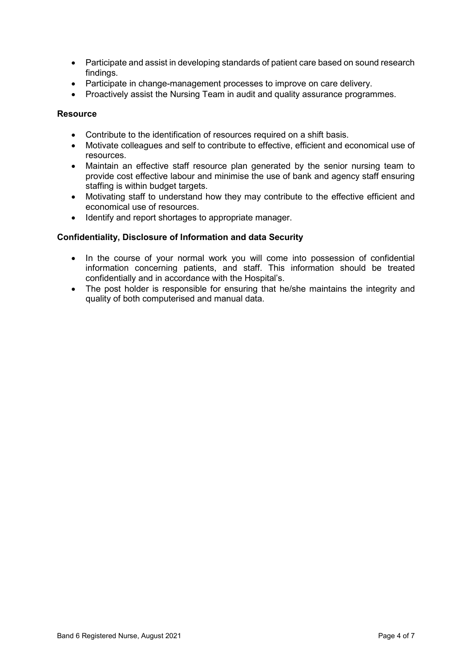- Participate and assist in developing standards of patient care based on sound research findings.
- Participate in change-management processes to improve on care delivery.
- Proactively assist the Nursing Team in audit and quality assurance programmes.

## **Resource**

- Contribute to the identification of resources required on a shift basis.
- Motivate colleagues and self to contribute to effective, efficient and economical use of resources.
- Maintain an effective staff resource plan generated by the senior nursing team to provide cost effective labour and minimise the use of bank and agency staff ensuring staffing is within budget targets.
- Motivating staff to understand how they may contribute to the effective efficient and economical use of resources.
- Identify and report shortages to appropriate manager.

### **Confidentiality, Disclosure of Information and data Security**

- In the course of your normal work you will come into possession of confidential information concerning patients, and staff. This information should be treated confidentially and in accordance with the Hospital's.
- The post holder is responsible for ensuring that he/she maintains the integrity and quality of both computerised and manual data.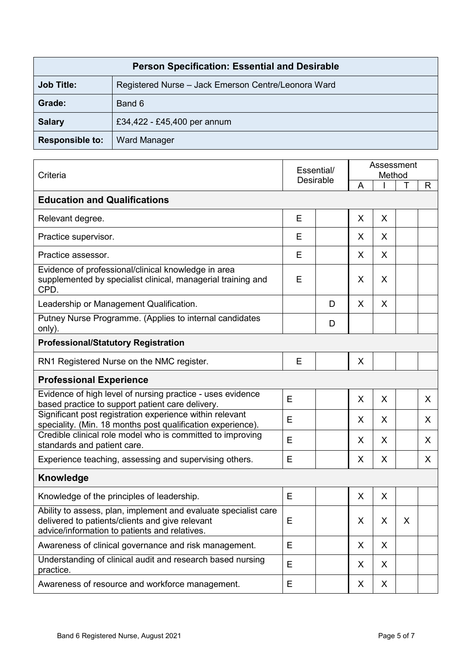| <b>Person Specification: Essential and Desirable</b> |                                                     |  |  |  |  |
|------------------------------------------------------|-----------------------------------------------------|--|--|--|--|
| <b>Job Title:</b>                                    | Registered Nurse - Jack Emerson Centre/Leonora Ward |  |  |  |  |
| Grade:                                               | Band 6                                              |  |  |  |  |
| <b>Salary</b>                                        | £34,422 - £45,400 per annum                         |  |  |  |  |
| <b>Responsible to:</b>                               | <b>Ward Manager</b>                                 |  |  |  |  |

| Criteria                                                                                                                                                            |   | Essential/<br><b>Desirable</b> |    | Assessment<br>Method |   |    |  |  |  |
|---------------------------------------------------------------------------------------------------------------------------------------------------------------------|---|--------------------------------|----|----------------------|---|----|--|--|--|
|                                                                                                                                                                     |   |                                |    |                      |   | R  |  |  |  |
| <b>Education and Qualifications</b>                                                                                                                                 |   |                                |    |                      |   |    |  |  |  |
| Relevant degree.                                                                                                                                                    | Е |                                | X  | X                    |   |    |  |  |  |
| Practice supervisor.                                                                                                                                                | Е |                                | X  | X                    |   |    |  |  |  |
| Practice assessor.                                                                                                                                                  | E |                                | X  | X                    |   |    |  |  |  |
| Evidence of professional/clinical knowledge in area<br>supplemented by specialist clinical, managerial training and<br>CPD.                                         | Е |                                | X  | X                    |   |    |  |  |  |
| Leadership or Management Qualification.                                                                                                                             |   | D                              | X  | X                    |   |    |  |  |  |
| Putney Nurse Programme. (Applies to internal candidates<br>only).                                                                                                   |   | D                              |    |                      |   |    |  |  |  |
| <b>Professional/Statutory Registration</b>                                                                                                                          |   |                                |    |                      |   |    |  |  |  |
| RN1 Registered Nurse on the NMC register.                                                                                                                           | E |                                | X  |                      |   |    |  |  |  |
| <b>Professional Experience</b>                                                                                                                                      |   |                                |    |                      |   |    |  |  |  |
| Evidence of high level of nursing practice - uses evidence<br>based practice to support patient care delivery.                                                      | E |                                | X  | X                    |   | X  |  |  |  |
| Significant post registration experience within relevant<br>speciality. (Min. 18 months post qualification experience).                                             | E |                                | X. | X                    |   | X  |  |  |  |
| Credible clinical role model who is committed to improving<br>standards and patient care.                                                                           | E |                                | X  | X                    |   | X  |  |  |  |
| Experience teaching, assessing and supervising others.                                                                                                              | E |                                | X  | X                    |   | X. |  |  |  |
| Knowledge                                                                                                                                                           |   |                                |    |                      |   |    |  |  |  |
| Knowledge of the principles of leadership.                                                                                                                          | E |                                | X  | X                    |   |    |  |  |  |
| Ability to assess, plan, implement and evaluate specialist care<br>delivered to patients/clients and give relevant<br>advice/information to patients and relatives. | Е |                                | X  | X                    | X |    |  |  |  |
| Awareness of clinical governance and risk management.                                                                                                               | E |                                | X  | X                    |   |    |  |  |  |
| Understanding of clinical audit and research based nursing<br>practice.                                                                                             | E |                                | X  | X                    |   |    |  |  |  |
| Awareness of resource and workforce management.                                                                                                                     | Е |                                | X  | X                    |   |    |  |  |  |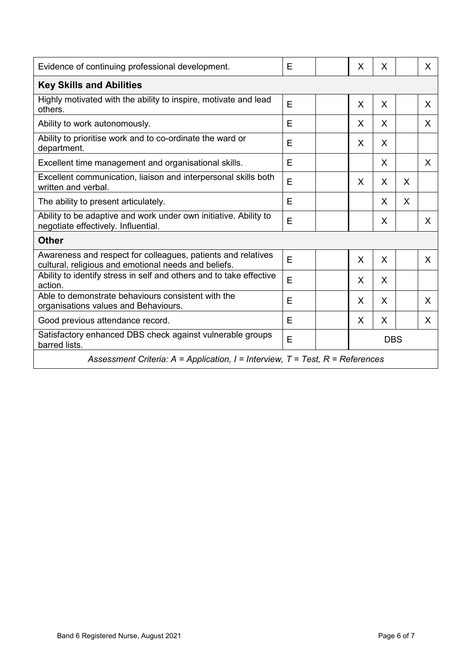| Evidence of continuing professional development.                                                                     |   |  | X          | X       |   | X |  |  |  |
|----------------------------------------------------------------------------------------------------------------------|---|--|------------|---------|---|---|--|--|--|
| <b>Key Skills and Abilities</b>                                                                                      |   |  |            |         |   |   |  |  |  |
| Highly motivated with the ability to inspire, motivate and lead<br>others.                                           | E |  | X          | X       |   | X |  |  |  |
| Ability to work autonomously.                                                                                        | E |  | X          | X       |   | X |  |  |  |
| Ability to prioritise work and to co-ordinate the ward or<br>department.                                             | E |  | X          | X       |   |   |  |  |  |
| Excellent time management and organisational skills.                                                                 | Е |  |            | X.      |   | X |  |  |  |
| Excellent communication, liaison and interpersonal skills both<br>written and verbal.                                | E |  | X          | X       | X |   |  |  |  |
| The ability to present articulately.                                                                                 | E |  |            | X       | X |   |  |  |  |
| Ability to be adaptive and work under own initiative. Ability to<br>negotiate effectively. Influential.              | E |  |            | X       |   | X |  |  |  |
| <b>Other</b>                                                                                                         |   |  |            |         |   |   |  |  |  |
| Awareness and respect for colleagues, patients and relatives<br>cultural, religious and emotional needs and beliefs. | E |  | X          | $\sf X$ |   | X |  |  |  |
| Ability to identify stress in self and others and to take effective<br>action.                                       | E |  | X          | $\sf X$ |   |   |  |  |  |
| Able to demonstrate behaviours consistent with the<br>organisations values and Behaviours.                           | E |  | X          | X       |   | X |  |  |  |
| Good previous attendance record.                                                                                     | E |  | X          | X       |   | X |  |  |  |
| Satisfactory enhanced DBS check against vulnerable groups<br>barred lists.                                           | E |  | <b>DBS</b> |         |   |   |  |  |  |
| Assessment Criteria: $A = Application$ , $I = Interview$ , $T = Test$ , $R = References$                             |   |  |            |         |   |   |  |  |  |